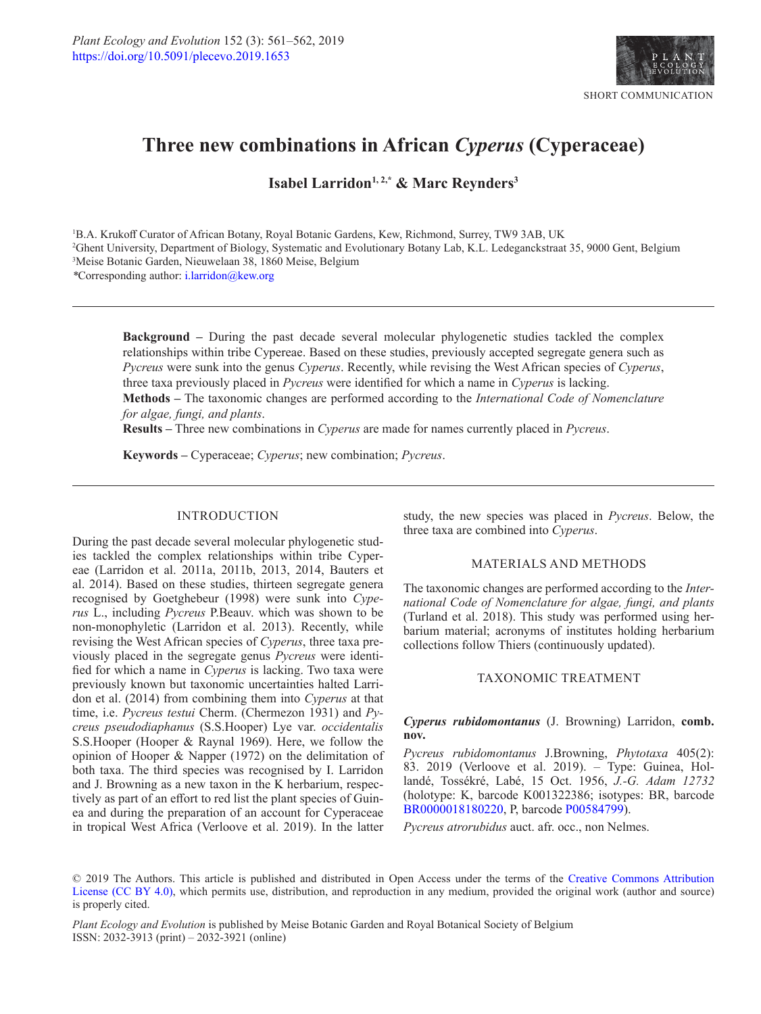

# **Three new combinations in African** *Cyperus* **(Cyperaceae)**

Isabel Larridon<sup>1, 2,\*</sup> & Marc Reynders<sup>3</sup>

1 B.A. Krukoff Curator of African Botany, Royal Botanic Gardens, Kew, Richmond, Surrey, TW9 3AB, UK 2 Ghent University, Department of Biology, Systematic and Evolutionary Botany Lab, K.L. Ledeganckstraat 35, 9000 Gent, Belgium 3 Meise Botanic Garden, Nieuwelaan 38, 1860 Meise, Belgium

*\**Corresponding author: [i.larridon@kew.org](mailto:i.larridon@kew.org)

**Background –** During the past decade several molecular phylogenetic studies tackled the complex relationships within tribe Cypereae. Based on these studies, previously accepted segregate genera such as *Pycreus* were sunk into the genus *Cyperus*. Recently, while revising the West African species of *Cyperus*, three taxa previously placed in *Pycreus* were identified for which a name in *Cyperus* is lacking. **Methods –** The taxonomic changes are performed according to the *International Code of Nomenclature for algae, fungi, and plants*.

**Results –** Three new combinations in *Cyperus* are made for names currently placed in *Pycreus*.

**Keywords –** Cyperaceae; *Cyperus*; new combination; *Pycreus*.

## INTRODUCTION

During the past decade several molecular phylogenetic studies tackled the complex relationships within tribe Cypereae (Larridon et al. 2011a, 2011b, 2013, 2014, Bauters et al. 2014). Based on these studies, thirteen segregate genera recognised by Goetghebeur (1998) were sunk into *Cyperus* L., including *Pycreus* P.Beauv. which was shown to be non-monophyletic (Larridon et al. 2013). Recently, while revising the West African species of *Cyperus*, three taxa previously placed in the segregate genus *Pycreus* were identified for which a name in *Cyperus* is lacking. Two taxa were previously known but taxonomic uncertainties halted Larridon et al. (2014) from combining them into *Cyperus* at that time, i.e. *Pycreus testui* Cherm. (Chermezon 1931) and *Pycreus pseudodiaphanus* (S.S.Hooper) Lye var. *occidentalis* S.S.Hooper (Hooper & Raynal 1969). Here, we follow the opinion of Hooper & Napper (1972) on the delimitation of both taxa. The third species was recognised by I. Larridon and J. Browning as a new taxon in the K herbarium, respectively as part of an effort to red list the plant species of Guinea and during the preparation of an account for Cyperaceae in tropical West Africa (Verloove et al. 2019). In the latter

study, the new species was placed in *Pycreus*. Below, the three taxa are combined into *Cyperus*.

### MATERIALS AND METHODS

The taxonomic changes are performed according to the *International Code of Nomenclature for algae, fungi, and plants* (Turland et al. 2018). This study was performed using herbarium material; acronyms of institutes holding herbarium collections follow Thiers (continuously updated).

### TAXONOMIC TREATMENT

# *Cyperus rubidomontanus* (J. Browning) Larridon, **comb. nov.**

*Pycreus rubidomontanus* J.Browning, *Phytotaxa* 405(2): 83. 2019 (Verloove et al. 2019). – Type: Guinea, Hollandé, Tossékré, Labé, 15 Oct. 1956, *J.-G. Adam 12732* (holotype: K, barcode K001322386; isotypes: BR, barcode [BR0000018180220](http://www.botanicalcollections.be/specimen/BR0000018180220), P, barcode [P00584799](http://coldb.mnhn.fr/catalognumber/mnhn/p/p00584799)).

*Pycreus atrorubidus* auct. afr. occ., non Nelmes.

© 2019 The Authors. This article is published and distributed in Open Access under the terms of the [Creative Commons Attribution](https://creativecommons.org/licenses/by/4.0/) [License \(CC BY 4.0\)](https://creativecommons.org/licenses/by/4.0/), which permits use, distribution, and reproduction in any medium, provided the original work (author and source) is properly cited.

*Plant Ecology and Evolution* is published by Meise Botanic Garden and Royal Botanical Society of Belgium ISSN: 2032-3913 (print) – 2032-3921 (online)